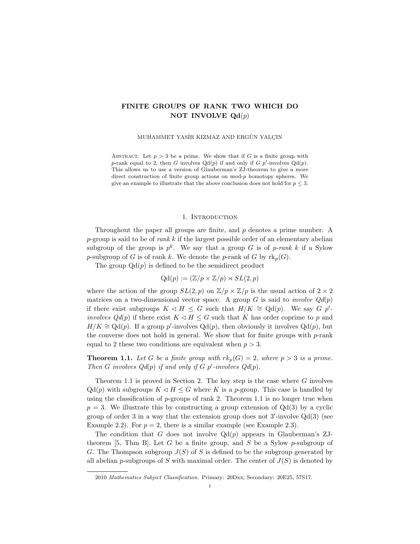# FINITE GROUPS OF RANK TWO WHICH DO NOT INVOLVE  $Qd(p)$

MUHAMMET YASİR KIZMAZ AND ERGÜN YALÇIN

ABSTRACT. Let  $p > 3$  be a prime. We show that if G is a finite group with p-rank equal to 2, then G involves  $Qd(p)$  if and only if G p'-involves  $Qd(p)$ . This allows us to use a version of Glauberman's ZJ-theorem to give a more direct construction of finite group actions on mod-p homotopy spheres. We give an example to illustrate that the above conclusion does not hold for  $p \leq 3$ .

### 1. INTRODUCTION

Throughout the paper all groups are finite, and p denotes a prime number. A p-group is said to be of rank k if the largest possible order of an elementary abelian subgroup of the group is  $p^k$ . We say that a group G is of p-rank k if a Sylow p-subgroup of G is of rank k. We denote the p-rank of G by  $\text{rk}_p(G)$ .

The group  $Qd(p)$  is defined to be the semidirect product

$$
Qd(p) := (\mathbb{Z}/p \times \mathbb{Z}/p) \rtimes SL(2,p)
$$

where the action of the group  $SL(2, p)$  on  $\mathbb{Z}/p \times \mathbb{Z}/p$  is the usual action of  $2 \times 2$ matrices on a two-dimensional vector space. A group G is said to *involve*  $Qd(p)$ if there exist subgroups  $K \triangleleft H \leq G$  such that  $H/K \cong \mathrm{Qd}(p)$ . We say  $G p'$ involves  $Qd(p)$  if there exist  $K \triangleleft H \leq G$  such that K has order coprime to p and  $H/K \cong \mathrm{Qd}(p)$ . If a group p'-involves  $\mathrm{Qd}(p)$ , then obviously it involves  $\mathrm{Qd}(p)$ , but the converse does not hold in general. We show that for finite groups with  $p$ -rank equal to 2 these two conditions are equivalent when  $p > 3$ .

**Theorem 1.1.** Let G be a finite group with  $rk_p(G) = 2$ , where  $p > 3$  is a prime. Then G involves  $Qd(p)$  if and only if G p'-involves  $Qd(p)$ .

Theorem 1.1 is proved in Section 2. The key step is the case where  $G$  involves  $Qd(p)$  with subgroups  $K \lhd H \lhd G$  where K is a p-group. This case is handled by using the classification of  $p$ -groups of rank 2. Theorem 1.1 is no longer true when  $p = 3$ . We illustrate this by constructing a group extension of  $Qd(3)$  by a cyclic group of order 3 in a way that the extension group does not  $3'$ -involve  $Qd(3)$  (see Example 2.2). For  $p = 2$ , there is a similar example (see Example 2.3).

The condition that G does not involve  $Qd(p)$  appears in Glauberman's ZJtheorem [5, Thm B]. Let G be a finite group, and S be a Sylow p-subgroup of G. The Thompson subgroup  $J(S)$  of S is defined to be the subgroup generated by all abelian p-subgroups of S with maximal order. The center of  $J(S)$  is denoted by

<sup>2010</sup> Mathematics Subject Classification. Primary: 20Dxx; Secondary: 20E25, 57S17.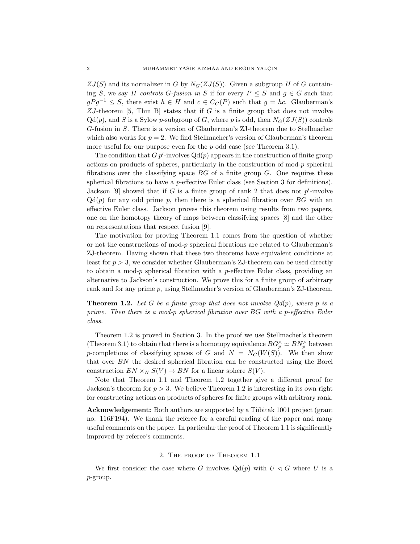$ZJ(S)$  and its normalizer in G by  $N_G(ZJ(S))$ . Given a subgroup H of G containing S, we say H controls G-fusion in S if for every  $P \leq S$  and  $g \in G$  such that  $gPg^{-1} \leq S$ , there exist  $h \in H$  and  $c \in C_G(P)$  such that  $g = hc$ . Glauberman's  $ZJ$ -theorem [5, Thm B] states that if G is a finite group that does not involve  $Qd(p)$ , and S is a Sylow p-subgroup of G, where p is odd, then  $N_G(ZJ(S))$  controls G-fusion in S. There is a version of Glauberman's ZJ-theorem due to Stellmacher which also works for  $p = 2$ . We find Stellmacher's version of Glauberman's theorem more useful for our purpose even for the p odd case (see Theorem 3.1).

The condition that  $G p'$ -involves  $Qd(p)$  appears in the construction of finite group actions on products of spheres, particularly in the construction of mod- $p$  spherical fibrations over the classifying space  $BG$  of a finite group  $G$ . One requires these spherical fibrations to have a p-effective Euler class (see Section 3 for definitions). Jackson [9] showed that if  $G$  is a finite group of rank 2 that does not  $p'$ -involve  $Qd(p)$  for any odd prime p, then there is a spherical fibration over BG with an effective Euler class. Jackson proves this theorem using results from two papers, one on the homotopy theory of maps between classifying spaces [8] and the other on representations that respect fusion [9].

The motivation for proving Theorem 1.1 comes from the question of whether or not the constructions of mod- $p$  spherical fibrations are related to Glauberman's ZJ-theorem. Having shown that these two theorems have equivalent conditions at least for  $p > 3$ , we consider whether Glauberman's ZJ-theorem can be used directly to obtain a mod- $p$  spherical fibration with a  $p$ -effective Euler class, providing an alternative to Jackson's construction. We prove this for a finite group of arbitrary rank and for any prime p, using Stellmacher's version of Glauberman's ZJ-theorem.

**Theorem 1.2.** Let G be a finite group that does not involve  $Qd(p)$ , where p is a prime. Then there is a mod-p spherical fibration over BG with a p-effective Euler class.

Theorem 1.2 is proved in Section 3. In the proof we use Stellmacher's theorem (Theorem 3.1) to obtain that there is a homotopy equivalence  $BG_p^{\wedge} \simeq BN_p^{\wedge}$  between p-completions of classifying spaces of G and  $N = N_G(W(S))$ . We then show that over BN the desired spherical fibration can be constructed using the Borel construction  $EN \times_N S(V) \to BN$  for a linear sphere  $S(V)$ .

Note that Theorem 1.1 and Theorem 1.2 together give a different proof for Jackson's theorem for  $p > 3$ . We believe Theorem 1.2 is interesting in its own right for constructing actions on products of spheres for finite groups with arbitrary rank.

Acknowledgement: Both authors are supported by a Tübitak 1001 project (grant no. 116F194). We thank the referee for a careful reading of the paper and many useful comments on the paper. In particular the proof of Theorem 1.1 is significantly improved by referee's comments.

## 2. The proof of Theorem 1.1

We first consider the case where G involves  $Qd(p)$  with  $U \triangleleft G$  where U is a p-group.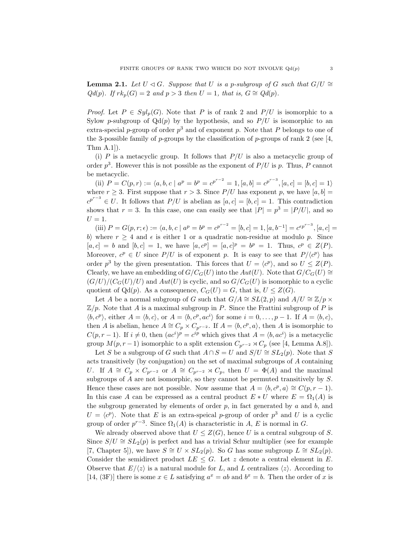**Lemma 2.1.** Let  $U \triangleleft G$ . Suppose that U is a p-subgroup of G such that  $G/U \cong$  $Qd(p)$ . If  $rk_p(G) = 2$  and  $p > 3$  then  $U = 1$ , that is,  $G \cong Qd(p)$ .

*Proof.* Let  $P \in Syl_p(G)$ . Note that P is of rank 2 and  $P/U$  is isomorphic to a Sylow p-subgroup of  $Qd(p)$  by the hypothesis, and so  $P/U$  is isomorphic to an extra-special p-group of order  $p^3$  and of exponent p. Note that P belongs to one of the 3-possible family of p-groups by the classification of p-groups of rank 2 (see [4, Thm A.1]).

(i) P is a metacyclic group. It follows that  $P/U$  is also a metacyclic group of order  $p^3$ . However this is not possible as the exponent of  $P/U$  is p. Thus, P cannot be metacyclic.

(ii)  $P = C(p,r) := \langle a, b, c \mid a^p = b^p = c^{p^{r-2}} = 1, [a, b] = c^{p^{r-3}}, [a, c] = [b, c] = 1 \rangle$ where  $r \geq 3$ . First suppose that  $r > 3$ . Since  $P/U$  has exponent p, we have  $[a, b] =$  $c^{p^{r-3}} \in U$ . It follows that  $P/U$  is abelian as  $[a, c] = [b, c] = 1$ . This contradiction shows that  $r = 3$ . In this case, one can easily see that  $|P| = p^3 = |P/U|$ , and so  $U=1.$ 

(iii)  $P = G(p, r; \epsilon) := \langle a, b, c \mid a^p = b^p = c^{p^{r-2}} = [b, c] = 1, [a, b^{-1}] = c^{\epsilon p^{r-3}}, [a, c] =$ b) where  $r \geq 4$  and  $\epsilon$  is either 1 or a quadratic non-residue at modulo p. Since  $[a, c] = b$  and  $[b, c] = 1$ , we have  $[a, c^p] = [a, c]^p = b^p = 1$ . Thus,  $c^p \in Z(P)$ . Moreover,  $c^p \in U$  since  $P/U$  is of exponent p. It is easy to see that  $P/\langle c^p \rangle$  has order  $p^3$  by the given presentation. This forces that  $U = \langle c^p \rangle$ , and so  $U \leq Z(P)$ . Clearly, we have an embedding of  $G/C_G(U)$  into the  $Aut(U)$ . Note that  $G/C_G(U) \cong$  $(G/U)/(C_G(U)/U)$  and  $Aut(U)$  is cyclic, and so  $G/C_G(U)$  is isomorphic to a cyclic quotient of Qd(p). As a consequence,  $C_G(U) = G$ , that is,  $U \leq Z(G)$ .

Let A be a normal subgroup of G such that  $G/A \cong SL(2,p)$  and  $A/U \cong \mathbb{Z}/p \times$  $\mathbb{Z}/p$ . Note that A is a maximal subgroup in P. Since the Frattini subgroup of P is  $\langle b, c^p \rangle$ , either  $A = \langle b, c \rangle$ , or  $A = \langle b, c^p, ac^i \rangle$  for some  $i = 0, \ldots, p - 1$ . If  $A = \langle b, c \rangle$ , then A is abelian, hence  $A \cong C_p \times C_{p^{r-2}}$ . If  $A = \langle b, c^p, a \rangle$ , then A is isomorphic to  $C(p, r-1)$ . If  $i \neq 0$ , then  $(ac^i)^p = c^{ip}$  which gives that  $A = \langle b, ac^i \rangle$  is a metacyclic group  $M(p, r - 1)$  isomorphic to a split extension  $C_{p^{r-2}} \rtimes C_p$  (see [4, Lemma A.8]).

Let S be a subgroup of G such that  $A \cap S = U$  and  $S/U \cong SL_2(p)$ . Note that S acts transitively (by conjugation) on the set of maximal subgroups of A containing U. If  $A \cong C_p \times C_{p^{r-2}}$  or  $A \cong C_{p^{r-2}} \rtimes C_p$ , then  $U = \Phi(A)$  and the maximal subgroups of A are not isomorphic, so they cannot be permuted transitively by S. Hence these cases are not possible. Now assume that  $A = \langle b, c^p, a \rangle \cong C(p, r - 1)$ . In this case A can be expressed as a central product  $E * U$  where  $E = \Omega_1(A)$  is the subgroup generated by elements of order  $p$ , in fact generated by  $a$  and  $b$ , and  $U = \langle c^p \rangle$ . Note that E is an extra-speical p-group of order  $p^3$  and U is a cyclic group of order  $p^{r-3}$ . Since  $\Omega_1(A)$  is characteristic in A, E is normal in G.

We already observed above that  $U \leq Z(G)$ , hence U is a central subgroup of S. Since  $S/U \cong SL_2(p)$  is perfect and has a trivial Schur multiplier (see for example [7, Chapter 5]), we have  $S \cong U \times SL_2(p)$ . So G has some subgroup  $L \cong SL_2(p)$ . Consider the semidirect product  $LE \leq G$ . Let z denote a central element in E. Observe that  $E/\langle z \rangle$  is a natural module for L, and L centralizes  $\langle z \rangle$ . According to [14, (3F)] there is some  $x \in L$  satisfying  $a^x = ab$  and  $b^x = b$ . Then the order of x is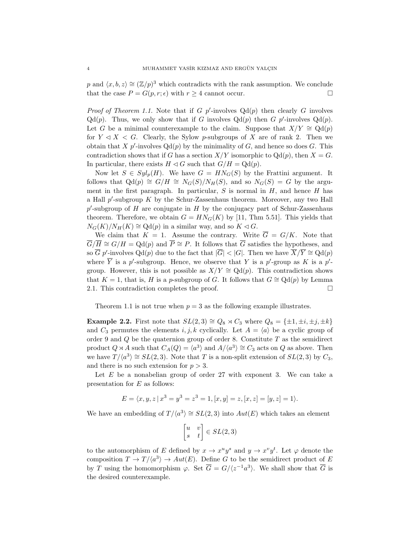p and  $\langle x, b, z \rangle \cong (\mathbb{Z}/p)^3$  which contradicts with the rank assumption. We conclude that the case  $P = G(p, r; \epsilon)$  with  $r \geq 4$  cannot occur.

*Proof of Theorem 1.1.* Note that if G p'-involves  $Qd(p)$  then clearly G involves  $Qd(p)$ . Thus, we only show that if G involves  $Qd(p)$  then G p'-involves  $Qd(p)$ . Let G be a minimal counterexample to the claim. Suppose that  $X/Y \cong \mathrm{Qd}(p)$ for  $Y \triangleleft X \leq G$ . Clearly, the Sylow p-subgroups of X are of rank 2. Then we obtain that X  $p'$ -involves  $Qd(p)$  by the minimality of G, and hence so does G. This contradiction shows that if G has a section  $X/Y$  isomorphic to  $Qd(p)$ , then  $X = G$ . In particular, there exists  $H \triangleleft G$  such that  $G/H = \mathrm{Qd}(p)$ .

Now let  $S \in Syl_p(H)$ . We have  $G = HN_G(S)$  by the Frattini argument. It follows that  $Qd(p) \cong G/H \cong N_G(S)/N_H(S)$ , and so  $N_G(S) = G$  by the argument in the first paragraph. In particular,  $S$  is normal in  $H$ , and hence  $H$  has a Hall  $p'$ -subgroup  $K$  by the Schur-Zassenhaus theorem. Moreover, any two Hall  $p'$ -subgroup of H are conjugate in H by the conjugacy part of Schur-Zassenhaus theorem. Therefore, we obtain  $G = H N_G(K)$  by [11, Thm 5.51]. This yields that  $N_G(K)/N_H(K) \cong \text{Qd}(p)$  in a similar way, and so  $K \lhd G$ .

We claim that  $K = 1$ . Assume the contrary. Write  $\overline{G} = G/K$ . Note that  $\overline{G}/\overline{H} \cong G/H = \text{Qd}(p)$  and  $\overline{P} \cong P$ . It follows that  $\overline{G}$  satisfies the hypotheses, and so  $\overline{G}$  p'-involves  $Qd(p)$  due to the fact that  $|\overline{G}| < |G|$ . Then we have  $\overline{X}/\overline{Y} \cong Qd(p)$ where  $\overline{Y}$  is a p'-subgroup. Hence, we observe that Y is a p'-group as K is a p'group. However, this is not possible as  $X/Y \cong \mathrm{Qd}(p)$ . This contradiction shows that K = 1, that is, H is a p-subgroup of G. It follows that  $G \cong \mathrm{Qd}(p)$  by Lemma 2.1. This contradiction completes the proof.

Theorem 1.1 is not true when  $p = 3$  as the following example illustrates.

**Example 2.2.** First note that  $SL(2,3) \cong Q_8 \rtimes C_3$  where  $Q_8 = {\pm 1, \pm i, \pm j, \pm k}$ and  $C_3$  permutes the elements i, j, k cyclically. Let  $A = \langle a \rangle$  be a cyclic group of order 9 and  $Q$  be the quaternion group of order 8. Constitute  $T$  as the semidirect product  $Q \rtimes A$  such that  $C_A(Q) = \langle a^3 \rangle$  and  $A/\langle a^3 \rangle \cong C_3$  acts on  $Q$  as above. Then we have  $T/\langle a^3 \rangle \cong SL(2,3)$ . Note that T is a non-split extension of  $SL(2,3)$  by  $C_3$ , and there is no such extension for  $p > 3$ .

Let  $E$  be a nonabelian group of order 27 with exponent 3. We can take a presentation for E as follows:

$$
E = \langle x, y, z | x^3 = y^3 = z^3 = 1, [x, y] = z, [x, z] = [y, z] = 1 \rangle.
$$

We have an embedding of  $T/\langle a^3 \rangle \cong SL(2,3)$  into  $Aut(E)$  which takes an element

$$
\begin{bmatrix} u & v \\ s & t \end{bmatrix} \in SL(2,3)
$$

to the automorphism of E defined by  $x \to x^u y^s$  and  $y \to x^v y^t$ . Let  $\varphi$  denote the composition  $T \to T/\langle a^3 \rangle \to Aut(E)$ . Define G to be the semidirect product of E by T using the homomorphism  $\varphi$ . Set  $\overline{G} = G/(z^{-1}a^3)$ . We shall show that  $\overline{G}$  is the desired counterexample.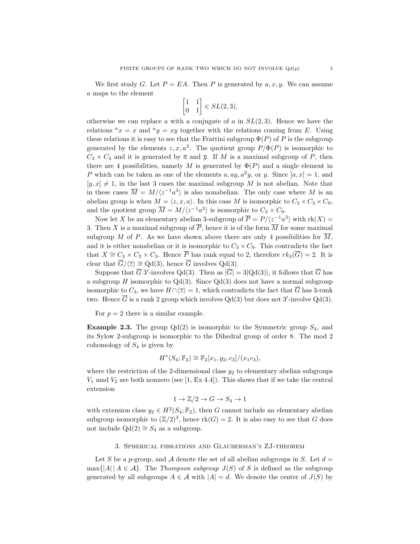We first study G. Let  $P = EA$ . Then P is generated by  $a, x, y$ . We can assume a maps to the element

$$
\begin{bmatrix} 1 & 1 \\ 0 & 1 \end{bmatrix} \in SL(2,3),
$$

otherwise we can replace a with a conjugate of a in  $SL(2,3)$ . Hence we have the relations  ${}^ax = x$  and  ${}^ay = xy$  together with the relations coming from E. Using these relations it is easy to see that the Frattini subgroup  $\Phi(P)$  of P is the subgroup generated by the elements  $z, x, a^3$ . The quotient group  $P/\Phi(P)$  is isomorphic to  $C_3 \times C_3$  and it is generated by  $\overline{a}$  and  $\overline{y}$ . If M is a maximal subgroup of P, then there are 4 possibilities, namely M is generated by  $\Phi(P)$  and a single element in P which can be taken as one of the elements  $a, ay, a^2y$ , or y. Since  $[a, x] = 1$ , and  $[y, x] \neq 1$ , in the last 3 cases the maximal subgroup M is not abelian. Note that in these cases  $\overline{M} = M/(z^{-1}a^3)$  is also nonabelian. The only case where M is an abelian group is when  $M = \langle z, x, a \rangle$ . In this case M is isomorphic to  $C_3 \times C_3 \times C_9$ , and the quotient group  $\overline{M} = M/\langle z^{-1}a^3 \rangle$  is isomorphic to  $C_3 \times C_9$ .

Now let X be an elementary abelian 3-subgroup of  $\overline{P} = P/(z^{-1}a^3)$  with  $rk(X) =$ 3. Then X is a maximal subgroup of  $\overline{P}$ , hence it is of the form  $\overline{M}$  for some maximal subgroup M of P. As we have shown above there are only 4 possibilities for  $\overline{M}$ , and it is either nonabelian or it is isomorphic to  $C_3 \times C_9$ . This contradicts the fact that  $X \cong C_3 \times C_3 \times C_3$ . Hence  $\overline{P}$  has rank equal to 2, therefore  $rk_3(\overline{G}) = 2$ . It is clear that  $\overline{G}/\langle \overline{z} \rangle \cong \text{Qd}(3)$ , hence  $\overline{G}$  involves  $\text{Qd}(3)$ .

Suppose that  $\overline{G}$  3'-involves Qd(3). Then as  $|\overline{G}| = 3|\text{Qd}(3)|$ , it follows that  $\overline{G}$  has a subgroup  $H$  isomorphic to  $Qd(3)$ . Since  $Qd(3)$  does not have a normal subgroup isomorphic to  $C_3$ , we have  $H \cap \langle \overline{z} \rangle = 1$ , which contradicts the fact that  $\overline{G}$  has 3-rank two. Hence  $\overline{G}$  is a rank 2 group which involves  $Qd(3)$  but does not 3'-involve  $Qd(3)$ .

For  $p = 2$  there is a similar example.

**Example 2.3.** The group  $Qd(2)$  is isomorphic to the Symmetric group  $S_4$ , and its Sylow 2-subgroup is isomorphic to the Dihedral group of order 8. The mod 2 cohomology of  $S_4$  is given by

$$
H^*(S_4; \mathbb{F}_2) \cong \mathbb{F}_2[x_1, y_2, c_3]/(x_1c_3),
$$

where the restriction of the 2-dimensional class  $y_2$  to elementary abelian subgroups  $V_1$  amd  $V_2$  are both nonzero (see [1, Ex 4.4]). This shows that if we take the central extension

$$
1 \to \mathbb{Z}/2 \to G \to S_4 \to 1
$$

with extension class  $y_2 \in H^2(S_4; \mathbb{F}_2)$ , then G cannot include an elementary abelian subgroup isomorphic to  $(\mathbb{Z}/2)^3$ , hence rk $(G) = 2$ . It is also easy to see that G does not include Qd(2)  $\cong S_4$  as a subgroup.

# 3. Spherical fibrations and Glauberman's ZJ-theorem

Let S be a p-group, and A denote the set of all abelian subgroups in S. Let  $d =$  $\max\{|A|, |A \in \mathcal{A}\}\$ . The Thompson subgroup  $J(S)$  of S is defined as the subgroup generated by all subgroups  $A \in \mathcal{A}$  with  $|A| = d$ . We denote the center of  $J(S)$  by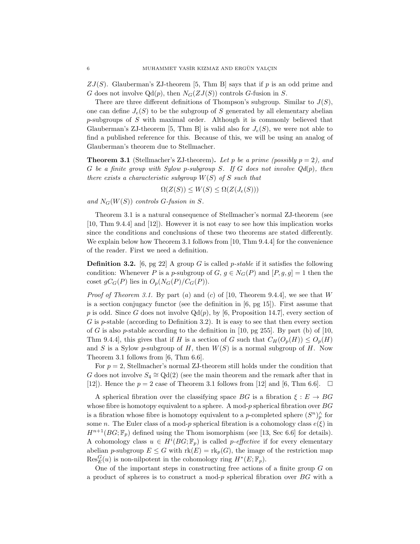$ZJ(S)$ . Glauberman's ZJ-theorem [5, Thm B] says that if p is an odd prime and G does not involve  $Qd(p)$ , then  $N_G(ZJ(S))$  controls G-fusion in S.

There are three different definitions of Thompson's subgroup. Similar to  $J(S)$ , one can define  $J_e(S)$  to be the subgroup of S generated by all elementary abelian p-subgroups of S with maximal order. Although it is commonly believed that Glauberman's ZJ-theorem [5, Thm B] is valid also for  $J_e(S)$ , we were not able to find a published reference for this. Because of this, we will be using an analog of Glauberman's theorem due to Stellmacher.

**Theorem 3.1** (Stellmacher's ZJ-theorem). Let p be a prime (possibly  $p = 2$ ), and G be a finite group with Sylow p-subgroup S. If G does not involve  $Qd(p)$ , then there exists a characteristic subgroup  $W(S)$  of S such that

 $\Omega(Z(S)) \leq W(S) \leq \Omega(Z(J_e(S)))$ 

and  $N_G(W(S))$  controls G-fusion in S.

Theorem 3.1 is a natural consequence of Stellmacher's normal ZJ-theorem (see [10, Thm 9.4.4] and [12]). However it is not easy to see how this implication works since the conditions and conclusions of these two theorems are stated differently. We explain below how Theorem 3.1 follows from [10, Thm 9.4.4] for the convenience of the reader. First we need a definition.

**Definition 3.2.** [6, pg 22] A group G is called *p*-stable if it satisfies the following condition: Whenever P is a p-subgroup of  $G, g \in N_G(P)$  and  $[P, g, g] = 1$  then the coset  $gC_G(P)$  lies in  $O_p(N_G(P)/C_G(P))$ .

*Proof of Theorem 3.1.* By part (a) and (c) of [10, Theorem 9.4.4], we see that W is a section conjugacy functor (see the definition in [6, pg 15]). First assume that p is odd. Since G does not involve  $Qd(p)$ , by [6, Proposition 14.7], every section of  $G$  is p-stable (according to Definition 3.2). It is easy to see that then every section of G is also p-stable according to the definition in [10, pg 255]. By part (b) of [10, Thm 9.4.4], this gives that if H is a section of G such that  $C_H(O_p(H)) \leq O_p(H)$ and S is a Sylow p-subgroup of H, then  $W(S)$  is a normal subgroup of H. Now Theorem 3.1 follows from [6, Thm 6.6].

For  $p = 2$ , Stellmacher's normal ZJ-theorem still holds under the condition that G does not involve  $S_4 \cong \text{Qd}(2)$  (see the main theorem and the remark after that in [12]). Hence the  $p = 2$  case of Theorem 3.1 follows from [12] and [6, Thm 6.6].  $\Box$ 

A spherical fibration over the classifying space BG is a fibration  $\xi : E \to BG$ whose fibre is homotopy equivalent to a sphere. A mod- $p$  spherical fibration over  $BG$ is a fibration whose fibre is homotopy equivalent to a *p*-completed sphere  $(S^n)_p^{\wedge}$  for some n. The Euler class of a mod-p spherical fibration is a cohomology class  $e(\xi)$  in  $H^{n+1}(BG; \mathbb{F}_p)$  defined using the Thom isomorphism (see [13, Sec 6.6] for details). A cohomology class  $u \in H^{i}(BG; \mathbb{F}_p)$  is called p-effective if for every elementary abelian p-subgroup  $E \leq G$  with  $rk(E) = rk_p(G)$ , the image of the restriction map  $\text{Res}_{E}^{G}(u)$  is non-nilpotent in the cohomology ring  $H^{*}(E; \mathbb{F}_{p})$ .

One of the important steps in constructing free actions of a finite group  $G$  on a product of spheres is to construct a mod-p spherical fibration over  $BG$  with a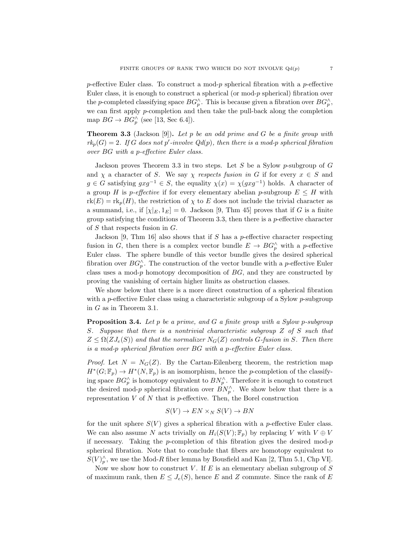p-effective Euler class. To construct a mod-p spherical fibration with a p-effective Euler class, it is enough to construct a spherical (or mod- $p$  spherical) fibration over the p-completed classifying space  $BG_p^{\wedge}$ . This is because given a fibration over  $BG_p^{\wedge}$ , we can first apply p-completion and then take the pull-back along the completion map  $BG \to BG_p^{\wedge}$  (see [13, Sec 6.4]).

**Theorem 3.3** (Jackson [9]). Let p be an odd prime and G be a finite group with  $rk_p(G) = 2$ . If G does not p'-involve  $Qd(p)$ , then there is a mod-p spherical fibration over BG with a p-effective Euler class.

Jackson proves Theorem 3.3 in two steps. Let  $S$  be a Sylow p-subgroup of  $G$ and  $\chi$  a character of S. We say  $\chi$  respects fusion in G if for every  $x \in S$  and  $g \in G$  satisfying  $gxg^{-1} \in S$ , the equality  $\chi(x) = \chi(gxg^{-1})$  holds. A character of a group H is p-effective if for every elementary abelian p-subgroup  $E \leq H$  with  $r(k) = r k_p(H)$ , the restriction of  $\chi$  to E does not include the trivial character as a summand, i.e., if  $[\chi|_E, 1_E] = 0$ . Jackson [9, Thm 45] proves that if G is a finite group satisfying the conditions of Theorem 3.3, then there is a  $p$ -effective character of  $S$  that respects fusion in  $G$ .

Jackson [9, Thm 16] also shows that if  $S$  has a p-effective character respecting fusion in G, then there is a complex vector bundle  $E \to BG_p^{\wedge}$  with a p-effective Euler class. The sphere bundle of this vector bundle gives the desired spherical fibration over  $BG_p^{\wedge}$ . The construction of the vector bundle with a *p*-effective Euler class uses a mod-p homotopy decomposition of  $BG$ , and they are constructed by proving the vanishing of certain higher limits as obstruction classes.

We show below that there is a more direct construction of a spherical fibration with a p-effective Euler class using a characteristic subgroup of a Sylow p-subgroup in G as in Theorem 3.1.

**Proposition 3.4.** Let p be a prime, and G a finite group with a Sylow p-subgroup S. Suppose that there is a nontrivial characteristic subgroup Z of S such that  $Z \leq \Omega(ZJ_e(S))$  and that the normalizer  $N_G(Z)$  controls G-fusion in S. Then there is a mod-p spherical fibration over BG with a p-effective Euler class.

*Proof.* Let  $N = N_G(Z)$ . By the Cartan-Eilenberg theorem, the restriction map  $H^*(G; \mathbb{F}_p) \to H^*(N, \mathbb{F}_p)$  is an isomorphism, hence the p-completion of the classifying space  $BG_p^{\wedge}$  is homotopy equivalent to  $BN_p^{\wedge}$ . Therefore it is enough to construct the desired mod-p spherical fibration over  $BN_p^{\wedge}$ . We show below that there is a representation  $V$  of  $N$  that is p-effective. Then, the Borel construction

$$
S(V) \to EN \times_N S(V) \to BN
$$

for the unit sphere  $S(V)$  gives a spherical fibration with a *p*-effective Euler class. We can also assume N acts trivially on  $H_i(S(V); \mathbb{F}_p)$  by replacing V with  $V \oplus V$ if necessary. Taking the p-completion of this fibration gives the desired mod-p spherical fibration. Note that to conclude that fibers are homotopy equivalent to  $S(V)_{p}^{\wedge}$ , we use the Mod-R fiber lemma by Bousfield and Kan [2, Thm 5.1, Chp VI].

Now we show how to construct V. If  $E$  is an elementary abelian subgroup of  $S$ of maximum rank, then  $E \leq J_e(S)$ , hence E and Z commute. Since the rank of E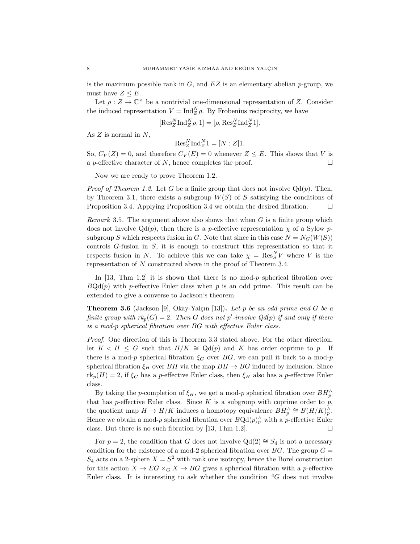is the maximum possible rank in  $G$ , and  $EZ$  is an elementary abelian p-group, we must have  $Z \leq E$ .

Let  $\rho: Z \to \mathbb{C}^\times$  be a nontrivial one-dimensional representation of Z. Consider the induced representation  $V = \text{Ind}_{Z}^{N} \rho$ . By Frobenius reciprocity, we have

 $[\text{Res}_Z^N \text{Ind}_Z^N \rho, 1] = [\rho, \text{Res}_Z^N \text{Ind}_Z^N 1].$ 

As  $Z$  is normal in  $N$ ,

 $\text{Res}_{Z}^{N} \text{Ind}_{Z}^{N} 1 = [N:Z] 1.$ 

So,  $C_V(Z) = 0$ , and therefore  $C_V(E) = 0$  whenever  $Z \leq E$ . This shows that V is a *p*-effective character of N, hence completes the proof.  $\Box$ 

Now we are ready to prove Theorem 1.2.

*Proof of Theorem 1.2.* Let G be a finite group that does not involve  $Qd(p)$ . Then, by Theorem 3.1, there exists a subgroup  $W(S)$  of S satisfying the conditions of Proposition 3.4. Applying Proposition 3.4 we obtain the desired fibration.  $\Box$ 

*Remark* 3.5. The argument above also shows that when  $G$  is a finite group which does not involve  $Qd(p)$ , then there is a *p*-effective representation  $\chi$  of a Sylow *p*subgroup S which respects fusion in G. Note that since in this case  $N = N_G(W(S))$ controls G-fusion in S, it is enough to construct this representation so that it respects fusion in N. To achieve this we can take  $\chi = \text{Res}_{S}^{N}V$  where V is the representation of N constructed above in the proof of Theorem 3.4.

In [13, Thm 1.2] it is shown that there is no mod- $p$  spherical fibration over  $BQd(p)$  with p-effective Euler class when p is an odd prime. This result can be extended to give a converse to Jackson's theorem.

**Theorem 3.6** (Jackson [9], Okay-Yalçın [13]). Let p be an odd prime and G be a finite group with  $rk_p(G) = 2$ . Then G does not p'-involve  $Qd(p)$  if and only if there is a mod-p spherical fibration over BG with effective Euler class.

Proof. One direction of this is Theorem 3.3 stated above. For the other direction, let  $K ⊲ H \le G$  such that  $H/K \cong \text{Qd}(p)$  and K has order coprime to p. If there is a mod-p spherical fibration  $\xi_G$  over BG, we can pull it back to a mod-p spherical fibration  $\xi_H$  over BH via the map  $BH \rightarrow BG$  induced by inclusion. Since  $\text{rk}_p(H) = 2$ , if  $\xi_G$  has a p-effective Euler class, then  $\xi_H$  also has a p-effective Euler class.

By taking the p-completion of  $\xi_H$ , we get a mod-p spherical fibration over  $BH_p^{\wedge}$ that has p-effective Euler class. Since  $K$  is a subgroup with coprime order to  $p$ , the quotient map  $H \to H/K$  induces a homotopy equivalence  $BH_p^{\wedge} \cong B(H/K)_p^{\wedge}$ . Hence we obtain a mod-p spherical fibration over  $BQd(p)_p^{\wedge}$  with a p-effective Euler class. But there is no such fibration by [13, Thm 1.2].  $\square$ 

For  $p = 2$ , the condition that G does not involve  $Qd(2) \cong S_4$  is not a necessary condition for the existence of a mod-2 spherical fibration over  $BG$ . The group  $G =$  $S_4$  acts on a 2-sphere  $X = S^2$  with rank one isotropy, hence the Borel construction for this action  $X \to EG \times_G X \to BG$  gives a spherical fibration with a p-effective Euler class. It is interesting to ask whether the condition " $G$  does not involve